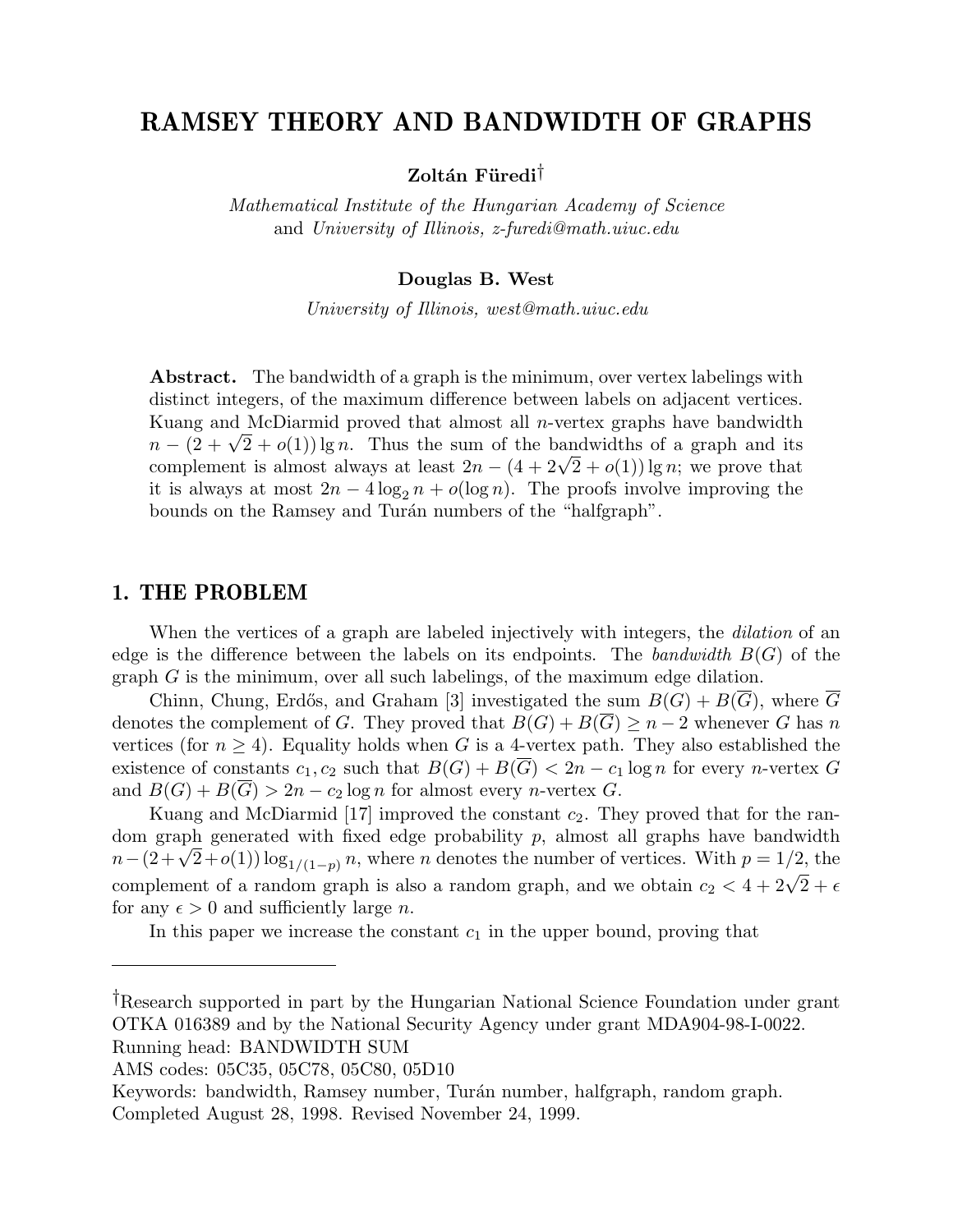# RAMSEY THEORY AND BANDWIDTH OF GRAPHS

 $Z$ oltán Füredi<sup>†</sup>

Mathematical Institute of the Hungarian Academy of Science and University of Illinois, z-furedi@math.uiuc.edu

#### Douglas B. West

University of Illinois, west@math.uiuc.edu

Abstract. The bandwidth of a graph is the minimum, over vertex labelings with distinct integers, of the maximum difference between labels on adjacent vertices. Kuang and McDiarmid proved that almost all  $n$ -vertex graphs have bandwidth Kuang and McDiarmid proved that almost all *n*-vertex graphs have bandwidth  $n - (2 + \sqrt{2} + o(1)) \lg n$ . Thus the sum of the bandwidths of a graph and its  $n - (2 + \sqrt{2} + o(1)) \lg n$ . Thus the sum of the bandwidths of a graph and its complement is almost always at least  $2n - (4 + 2\sqrt{2} + o(1)) \lg n$ ; we prove that it is always at most  $2n - 4 \log_2 n + o(\log n)$ . The proofs involve improving the bounds on the Ramsey and Turán numbers of the "halfgraph".

## 1. THE PROBLEM

When the vertices of a graph are labeled injectively with integers, the *dilation* of an edge is the difference between the labels on its endpoints. The bandwidth  $B(G)$  of the graph G is the minimum, over all such labelings, of the maximum edge dilation.

Chinn, Chung, Erdős, and Graham [3] investigated the sum  $B(G) + B(\overline{G})$ , where  $\overline{G}$ denotes the complement of G. They proved that  $B(G) + B(\overline{G}) \geq n-2$  whenever G has n vertices (for  $n \geq 4$ ). Equality holds when G is a 4-vertex path. They also established the existence of constants  $c_1, c_2$  such that  $B(G) + B(\overline{G}) < 2n - c_1 \log n$  for every *n*-vertex G and  $B(G) + B(G) > 2n - c_2 \log n$  for almost every *n*-vertex *G*.

Kuang and McDiarmid [17] improved the constant  $c_2$ . They proved that for the random graph generated with fixed edge probability  $p$ , almost all graphs have bandwidth dom graph generated with fixed edge probability p, almost all graphs have bandwidth  $n-(2+\sqrt{2}+o(1)) \log_{1/(1-p)} n$ , where n denotes the number of vertices. With  $p = 1/2$ , the  $n - (2 + \sqrt{2} + o(1)) \log_{1/(1-p)} n$ , where *n* denotes the number of vertices. With  $p = 1/2$ , the complement of a random graph is also a random graph, and we obtain  $c_2 < 4 + 2\sqrt{2} + \epsilon$ for any  $\epsilon > 0$  and sufficiently large *n*.

In this paper we increase the constant  $c_1$  in the upper bound, proving that

<sup>†</sup>Research supported in part by the Hungarian National Science Foundation under grant OTKA 016389 and by the National Security Agency under grant MDA904-98-I-0022.

Running head: BANDWIDTH SUM

AMS codes: 05C35, 05C78, 05C80, 05D10

Keywords: bandwidth, Ramsey number, Turán number, halfgraph, random graph. Completed August 28, 1998. Revised November 24, 1999.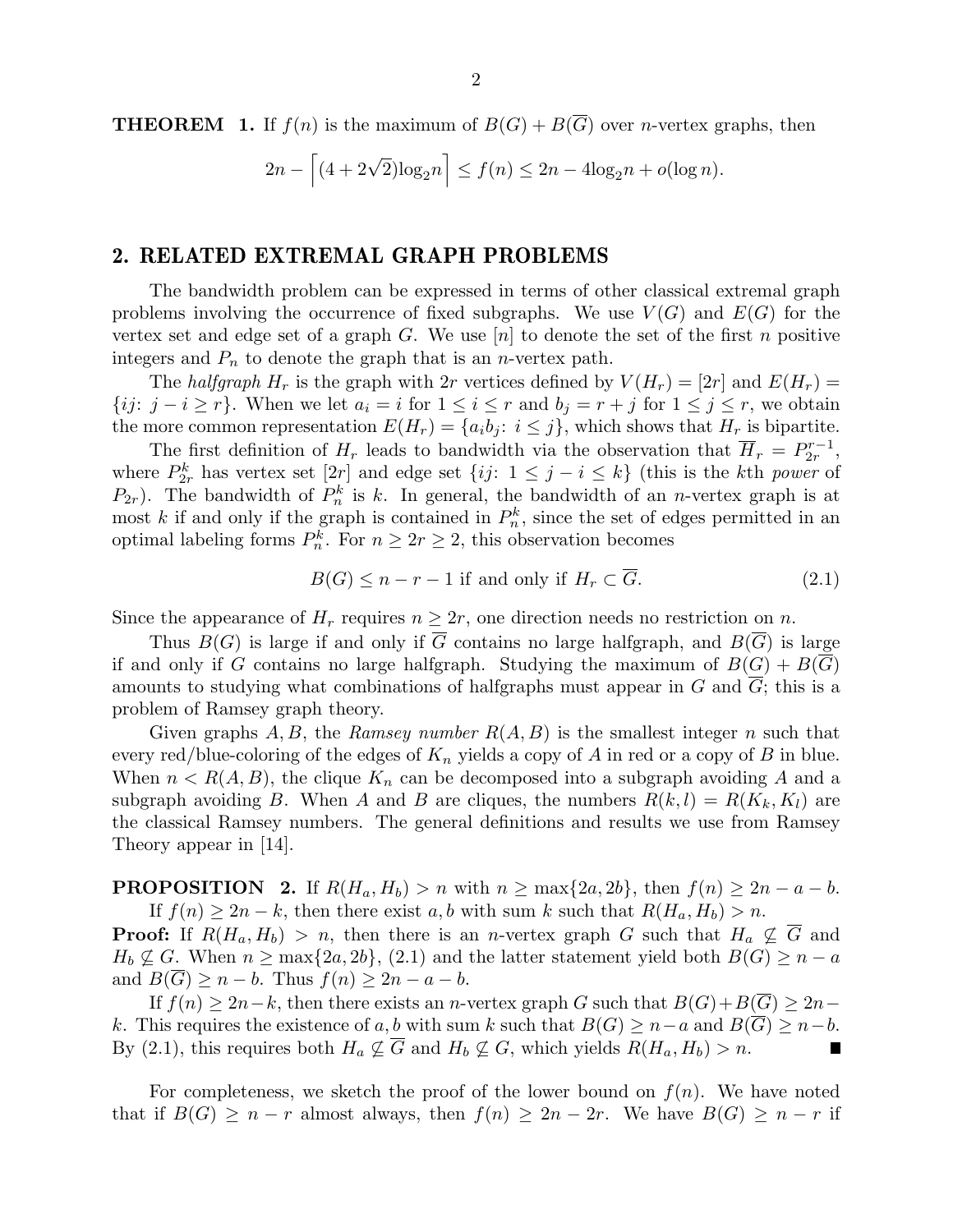**THEOREM** 1. If  $f(n)$  is the maximum of  $B(G) + B(\overline{G})$  over *n*-vertex graphs, then

$$
2n - \left[ (4 + 2\sqrt{2})\log_2 n \right] \le f(n) \le 2n - 4\log_2 n + o(\log n).
$$

## 2. RELATED EXTREMAL GRAPH PROBLEMS

The bandwidth problem can be expressed in terms of other classical extremal graph problems involving the occurrence of fixed subgraphs. We use  $V(G)$  and  $E(G)$  for the vertex set and edge set of a graph  $G$ . We use  $[n]$  to denote the set of the first n positive integers and  $P_n$  to denote the graph that is an *n*-vertex path.

The halfgraph  $H_r$  is the graph with 2r vertices defined by  $V(H_r) = 2r$  and  $E(H_r) =$ {*ij*:  $j - i \geq r$ }. When we let  $a_i = i$  for  $1 \leq i \leq r$  and  $b_j = r + j$  for  $1 \leq j \leq r$ , we obtain the more common representation  $E(H_r) = \{a_i b_j : i \leq j\}$ , which shows that  $H_r$  is bipartite.

The first definition of  $H_r$  leads to bandwidth via the observation that  $\overline{H}_r = P_{2r}^{r-1}$  $\frac{r-1}{2r},$ where  $P_{2r}^k$  has vertex set  $[2r]$  and edge set  $\{ij: 1 \leq j - i \leq k\}$  (this is the kth power of  $P_{2r}$ ). The bandwidth of  $P_n^k$  is k. In general, the bandwidth of an *n*-vertex graph is at most k if and only if the graph is contained in  $P_n^k$ , since the set of edges permitted in an optimal labeling forms  $P_n^k$ . For  $n \geq 2r \geq 2$ , this observation becomes

$$
B(G) \le n - r - 1 \text{ if and only if } H_r \subset \overline{G}.
$$
 (2.1)

Since the appearance of  $H_r$  requires  $n \geq 2r$ , one direction needs no restriction on n.

Thus  $B(G)$  is large if and only if  $\overline{G}$  contains no large halfgraph, and  $B(\overline{G})$  is large if and only if G contains no large halfgraph. Studying the maximum of  $B(G) + B(\overline{G})$ amounts to studying what combinations of halfgraphs must appear in G and G; this is a problem of Ramsey graph theory.

Given graphs A, B, the Ramsey number  $R(A, B)$  is the smallest integer n such that every red/blue-coloring of the edges of  $K_n$  yields a copy of A in red or a copy of B in blue. When  $n < R(A, B)$ , the clique  $K_n$  can be decomposed into a subgraph avoiding A and a subgraph avoiding B. When A and B are cliques, the numbers  $R(k, l) = R(K_k, K_l)$  are the classical Ramsey numbers. The general definitions and results we use from Ramsey Theory appear in [14].

**PROPOSITION** 2. If  $R(H_a, H_b) > n$  with  $n \ge \max\{2a, 2b\}$ , then  $f(n) \ge 2n - a - b$ . If  $f(n) \geq 2n - k$ , then there exist a, b with sum k such that  $R(H_a, H_b) > n$ .

**Proof:** If  $R(H_a, H_b) > n$ , then there is an *n*-vertex graph G such that  $H_a \nsubseteq \overline{G}$  and  $H_b \nsubseteq G$ . When  $n \ge \max\{2a, 2b\}$ , (2.1) and the latter statement yield both  $B(G) \ge n - a$ and  $B(G) \geq n - b$ . Thus  $f(n) \geq 2n - a - b$ .

If  $f(n) \geq 2n-k$ , then there exists an n-vertex graph G such that  $B(G)+B(\overline{G}) \geq 2n$ k. This requires the existence of a, b with sum k such that  $B(G) \geq n - a$  and  $B(\overline{G}) \geq n - b$ . By (2.1), this requires both  $H_a \nsubseteq \overline{G}$  and  $H_b \nsubseteq G$ , which yields  $R(H_a, H_b) > n$ .  $\blacksquare$ 

For completeness, we sketch the proof of the lower bound on  $f(n)$ . We have noted that if  $B(G) \geq n - r$  almost always, then  $f(n) \geq 2n - 2r$ . We have  $B(G) \geq n - r$  if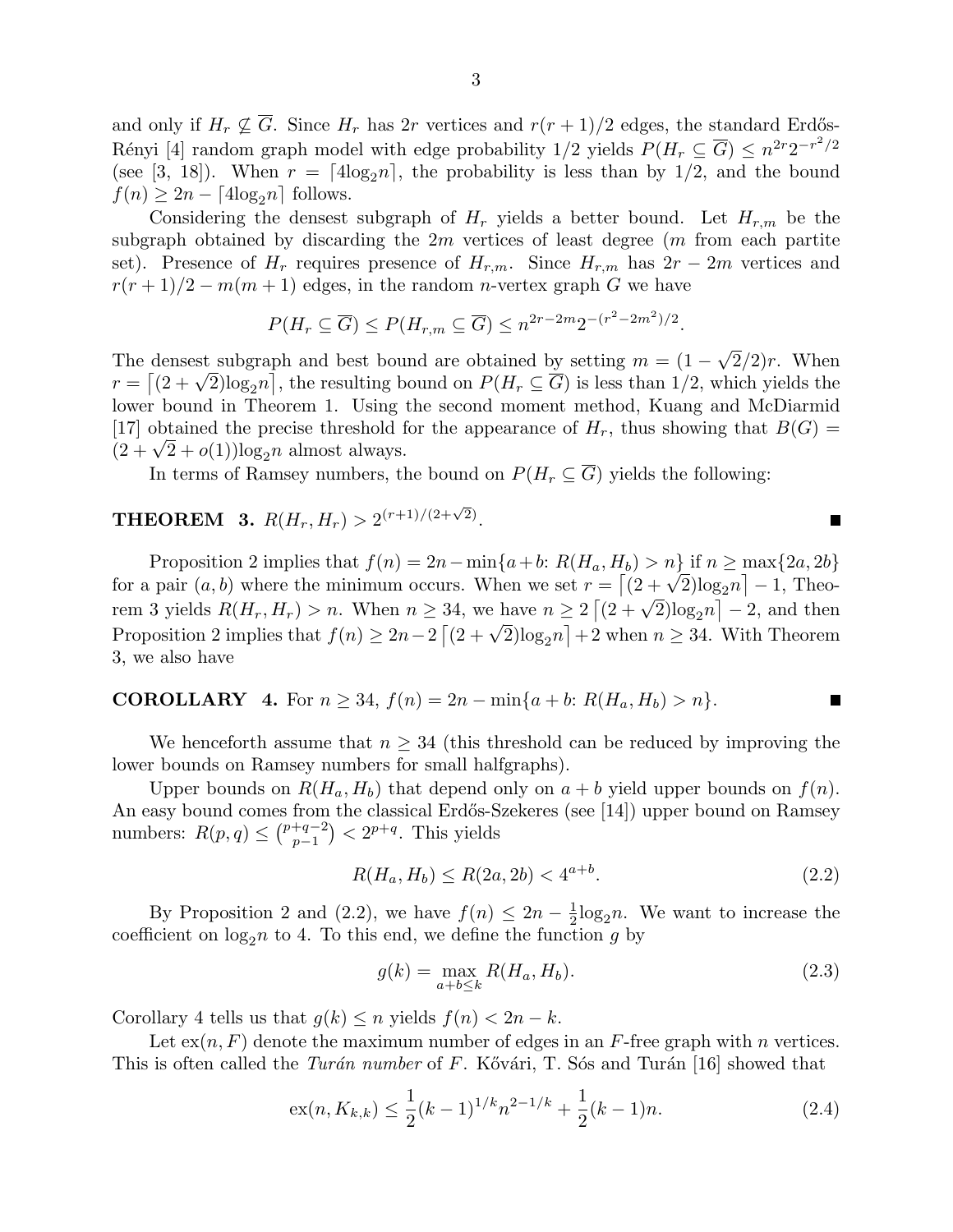and only if  $H_r \nsubseteq \overline{G}$ . Since  $H_r$  has 2r vertices and  $r(r + 1)/2$  edges, the standard Erdős-Rényi [4] random graph model with edge probability  $1/2$  yields  $P(H_r \subseteq \overline{G}) \leq n^{2r}2^{-r^2/2}$ (see [3, 18]). When  $r = [4\log_2 n]$ , the probability is less than by 1/2, and the bound  $f(n) \geq 2n - \lceil 4\log_2 n \rceil$  follows.

Considering the densest subgraph of  $H_r$  yields a better bound. Let  $H_{r,m}$  be the subgraph obtained by discarding the  $2m$  vertices of least degree  $(m \text{ from each partite})$ set). Presence of  $H_r$  requires presence of  $H_{r,m}$ . Since  $H_{r,m}$  has  $2r-2m$  vertices and  $r(r+1)/2 - m(m+1)$  edges, in the random *n*-vertex graph G we have

$$
P(H_r \subseteq \overline{G}) \le P(H_{r,m} \subseteq \overline{G}) \le n^{2r-2m}2^{-(r^2-2m^2)/2}.
$$

The densest subgraph and best bound are obtained by setting  $m = (1 - \sqrt{2}/2)r$ . When The densest subgraph and best bound are obtained by setting  $m = (1 - \sqrt{2}/2)r$ . When  $r = \left[ (2 + \sqrt{2}) \log_2 n \right]$ , the resulting bound on  $P(H_r \subseteq \overline{G})$  is less than 1/2, which yields the lower bound in Theorem 1. Using the second moment method, Kuang and McDiarmid [17] obtained the precise threshold for the appearance of  $H_r$ , thus showing that  $B(G)$  = [17] obtained the precise threshold f<br> $(2 + \sqrt{2} + o(1))\log_2 n$  almost always.

In terms of Ramsey numbers, the bound on  $P(H_r \subseteq \overline{G})$  yields the following:

# **THEOREM 3.**  $R(H_r, H_r) > 2^{(r+1)/(2+\sqrt{2})}$ .

Proposition 2 implies that  $f(n) = 2n - \min\{a+b: R(H_a, H_b) > n\}$  if  $n \ge \max\{2a, 2b\}$ Proposition 2 implies that  $f(n) = 2n - \min\{a+b: R(H_a, H_b) > n\}$  if  $n \ge \max\{2a, 2b\}$  for a pair  $(a, b)$  where the minimum occurs. When we set  $r = \left[ (2 + \sqrt{2})\log_2 n \right] - 1$ , Theofor a pair  $(a, b)$  where the minimum occurs. When we set  $r = |(2 + \sqrt{2})\log_2 n| - 1$ , Theorem 3 yields  $R(H_r, H_r) > n$ . When  $n \geq 34$ , we have  $n \geq 2\left[(2 + \sqrt{2})\log_2 n\right] - 2$ , and then rem 3 yields  $R(H_r, H_r) > n$ . When  $n \ge 34$ , we have  $n \ge 2 | (2 + \sqrt{2}) \log_2 n | - 2$ , and then<br>Proposition 2 implies that  $f(n) \ge 2n - 2 [(2 + \sqrt{2}) \log_2 n] + 2$  when  $n \ge 34$ . With Theorem 3, we also have

**COROLLARY** 4. For 
$$
n \ge 34
$$
,  $f(n) = 2n - \min\{a + b: R(H_a, H_b) > n\}$ .

We henceforth assume that  $n \geq 34$  (this threshold can be reduced by improving the lower bounds on Ramsey numbers for small halfgraphs).

Upper bounds on  $R(H_a, H_b)$  that depend only on  $a + b$  yield upper bounds on  $f(n)$ . An easy bound comes from the classical Erdős-Szekeres (see [14]) upper bound on Ramsey numbers:  $R(p,q) \leq {p+q-2 \choose p-1}$  $p+(-1)$  <  $2^{p+q}$ . This yields

$$
R(H_a, H_b) \le R(2a, 2b) < 4^{a+b}.\tag{2.2}
$$

П

By Proposition 2 and (2.2), we have  $f(n) \leq 2n - \frac{1}{2}$  $\frac{1}{2} \log_2 n$ . We want to increase the coefficient on  $log_2 n$  to 4. To this end, we define the function g by

$$
g(k) = \max_{a+b \le k} R(H_a, H_b).
$$
 (2.3)

Corollary 4 tells us that  $g(k) \leq n$  yields  $f(n) < 2n - k$ .

Let  $\operatorname{ex}(n, F)$  denote the maximum number of edges in an F-free graph with n vertices. This is often called the Turán number of F. Kővári, T. Sós and Turán [16] showed that

$$
ex(n, K_{k,k}) \le \frac{1}{2}(k-1)^{1/k}n^{2-1/k} + \frac{1}{2}(k-1)n.
$$
 (2.4)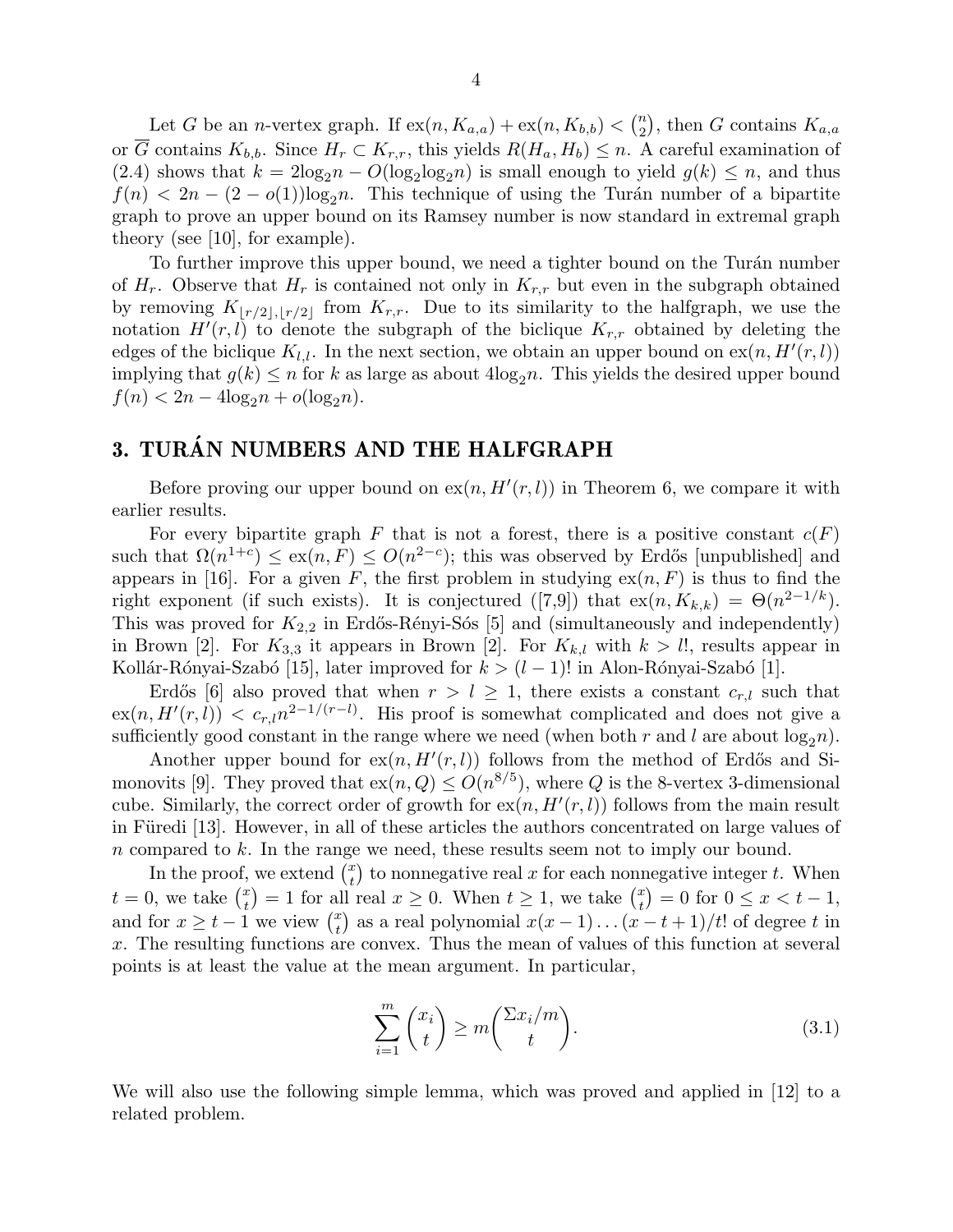Let G be an *n*-vertex graph. If  $ex(n, K_{a,a}) + ex(n, K_{b,b}) < {n \choose 2}$  $\binom{n}{2}$ , then G contains  $K_{a,a}$ or  $\overline{G}$  contains  $K_{b,b}$ . Since  $H_r \subset K_{r,r}$ , this yields  $R(H_a, H_b) \leq n$ . A careful examination of (2.4) shows that  $k = 2\log_2 n - O(\log_2 \log_2 n)$  is small enough to yield  $g(k) \leq n$ , and thus  $f(n) < 2n - (2 - o(1))\log_2 n$ . This technique of using the Turán number of a bipartite graph to prove an upper bound on its Ramsey number is now standard in extremal graph theory (see [10], for example).

To further improve this upper bound, we need a tighter bound on the Turán number of  $H_r$ . Observe that  $H_r$  is contained not only in  $K_{r,r}$  but even in the subgraph obtained by removing  $K_{\lfloor r/2 \rfloor,\lfloor r/2 \rfloor}$  from  $K_{r,r}$ . Due to its similarity to the halfgraph, we use the notation  $H^{i}(r, l)$  to denote the subgraph of the biclique  $K_{r,r}$  obtained by deleting the edges of the biclique  $K_{l,l}$ . In the next section, we obtain an upper bound on  $ex(n, H'(r, l))$ implying that  $g(k) \leq n$  for k as large as about  $4\log_2 n$ . This yields the desired upper bound  $f(n) < 2n - 4\log_2 n + o(\log_2 n).$ 

# 3. TURÁN NUMBERS AND THE HALFGRAPH

Before proving our upper bound on  $ex(n, H'(r, l))$  in Theorem 6, we compare it with earlier results.

For every bipartite graph F that is not a forest, there is a positive constant  $c(F)$ such that  $\Omega(n^{1+c}) \leq \alpha(n, F) \leq O(n^{2-c})$ ; this was observed by Erdős [unpublished] and appears in [16]. For a given F, the first problem in studying  $ex(n, F)$  is thus to find the right exponent (if such exists). It is conjectured ([7,9]) that  $ex(n, K_{k,k}) = \Theta(n^{2-1/k})$ . This was proved for  $K_{2,2}$  in Erdős-Rényi-Sós [5] and (simultaneously and independently) in Brown [2]. For  $K_{3,3}$  it appears in Brown [2]. For  $K_{k,l}$  with  $k > l!$ , results appear in Kollár-Rónyai-Szabó [15], later improved for  $k > (l-1)!$  in Alon-Rónyai-Szabó [1].

Erdős [6] also proved that when  $r > l \geq 1$ , there exists a constant  $c_{r,l}$  such that  $\exp(n, H'(r, l)) < c_{r, l} n^{2-1/(r-l)}$ . His proof is somewhat complicated and does not give a sufficiently good constant in the range where we need (when both r and l are about  $log_2 n$ ).

Another upper bound for  $ex(n, H'(r, l))$  follows from the method of Erdős and Simonovits [9]. They proved that  $ex(n, Q) \leq O(n^{8/5})$ , where Q is the 8-vertex 3-dimensional cube. Similarly, the correct order of growth for  $ex(n, H'(r, l))$  follows from the main result in Füredi [13]. However, in all of these articles the authors concentrated on large values of n compared to k. In the range we need, these results seem not to imply our bound.

In the proof, we extend  $\binom{x}{t}$  $_t^x$  to nonnegative real x for each nonnegative integer t. When  $t=0$ , we take  $\binom{x}{t}$  $\binom{x}{t} = 1$  for all real  $x \geq 0$ . When  $t \geq 1$ , we take  $\binom{x}{t}$  $\binom{x}{t} = 0$  for  $0 \leq x < t - 1$ , and for  $x \geq t-1$  we view  $\binom{x}{t}$  $\binom{x}{t}$  as a real polynomial  $x(x-1)...(x-t+1)/t!$  of degree t in x. The resulting functions are convex. Thus the mean of values of this function at several points is at least the value at the mean argument. In particular,

$$
\sum_{i=1}^{m} \binom{x_i}{t} \ge m \binom{\sum x_i/m}{t}.
$$
\n(3.1)

We will also use the following simple lemma, which was proved and applied in [12] to a related problem.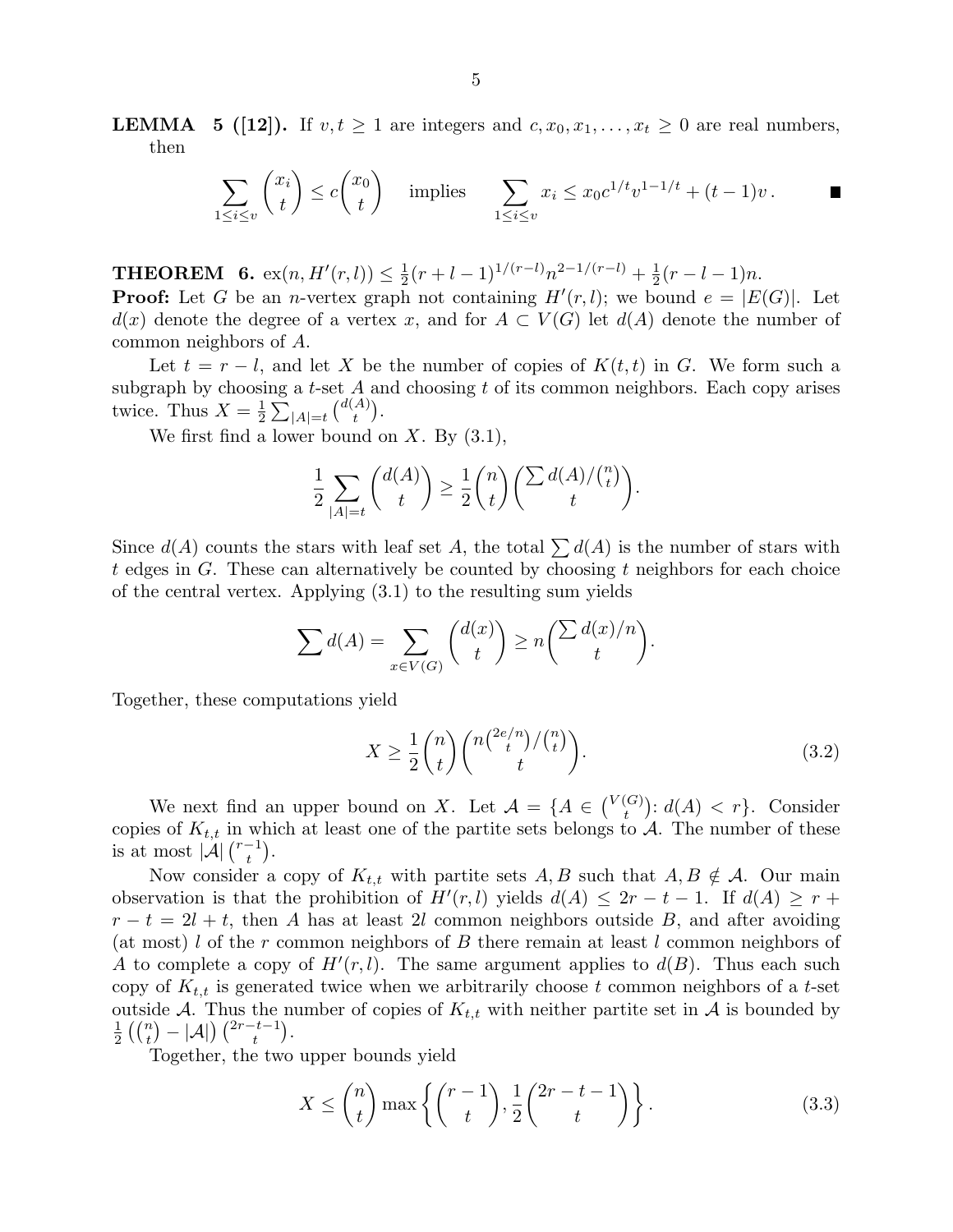**LEMMA** 5 ([12]). If  $v, t \ge 1$  are integers and  $c, x_0, x_1, \ldots, x_t \ge 0$  are real numbers, then

$$
\sum_{1 \le i \le v} \binom{x_i}{t} \le c \binom{x_0}{t} \quad \text{ implies } \quad \sum_{1 \le i \le v} x_i \le x_0 c^{1/t} v^{1-1/t} + (t-1)v \, . \qquad \blacksquare
$$

**THEOREM** 6.  $ex(n, H'(r, l)) \leq \frac{1}{2}$  $\frac{1}{2}(r+l-1)^{1/(r-l)}n^{2-1/(r-l)}+\frac{1}{2}$  $\frac{1}{2}(r - l - 1)n$ .

**Proof:** Let G be an *n*-vertex graph not containing  $H'(r, l)$ ; we bound  $e = |E(G)|$ . Let  $d(x)$  denote the degree of a vertex x, and for  $A \subset V(G)$  let  $d(A)$  denote the number of common neighbors of A.

Let  $t = r - l$ , and let X be the number of copies of  $K(t, t)$  in G. We form such a subgraph by choosing a  $t$ -set  $A$  and choosing  $t$  of its common neighbors. Each copy arises twice. Thus  $X=\frac{1}{2}$  $\frac{1}{2}\sum_{|A|=t} {d(A) \choose t}$  $\binom{A}{t}$ .

We first find a lower bound on  $X$ . By  $(3.1)$ ,

$$
\frac{1}{2} \sum_{|A|=t} \binom{d(A)}{t} \ge \frac{1}{2} \binom{n}{t} \left( \frac{\sum d(A)}{t} \binom{n}{t} \right).
$$

Since  $d(A)$  counts the stars with leaf set A, the total  $\sum d(A)$  is the number of stars with t edges in G. These can alternatively be counted by choosing t neighbors for each choice of the central vertex. Applying (3.1) to the resulting sum yields

$$
\sum d(A) = \sum_{x \in V(G)} \binom{d(x)}{t} \ge n \binom{\sum d(x)/n}{t}.
$$

Together, these computations yield

$$
X \ge \frac{1}{2} \binom{n}{t} \binom{n \binom{2e/n}{t} \binom{n}{t}}{t}.
$$
\n(3.2)

We next find an upper bound on X. Let  $\mathcal{A} = \{A \in \binom{V(G)}{t}\}$  $t^{(G)}_t$ :  $d(A) < r$ . Consider copies of  $K_{t,t}$  in which at least one of the partite sets belongs to A. The number of these is at most  $|\mathcal{A}| \binom{r-1}{t}$  $\binom{-1}{t}$ .

Now consider a copy of  $K_{t,t}$  with partite sets  $A, B$  such that  $A, B \notin \mathcal{A}$ . Our main observation is that the prohibition of  $H'(r, l)$  yields  $d(A) \leq 2r - t - 1$ . If  $d(A) \geq r +$  $r - t = 2l + t$ , then A has at least 2l common neighbors outside B, and after avoiding (at most) l of the r common neighbors of B there remain at least l common neighbors of A to complete a copy of  $H'(r, l)$ . The same argument applies to  $d(B)$ . Thus each such copy of  $K_{t,t}$  is generated twice when we arbitrarily choose t common neighbors of a t-set outside A. Thus the number of copies of  $K_{t,t}$  with neither partite set in A is bounded by  $\frac{1}{t} \binom{n}{t} - \frac{1}{t} \binom{2r-t-1}{t}$  $\frac{1}{2}$   $\left(\binom{n}{t} - |\mathcal{A}|\right) \binom{2r-t-1}{t}$ .

Together, the two upper bounds yield

$$
X \le \binom{n}{t} \max\left\{ \binom{r-1}{t}, \frac{1}{2} \binom{2r-t-1}{t} \right\}.
$$
\n(3.3)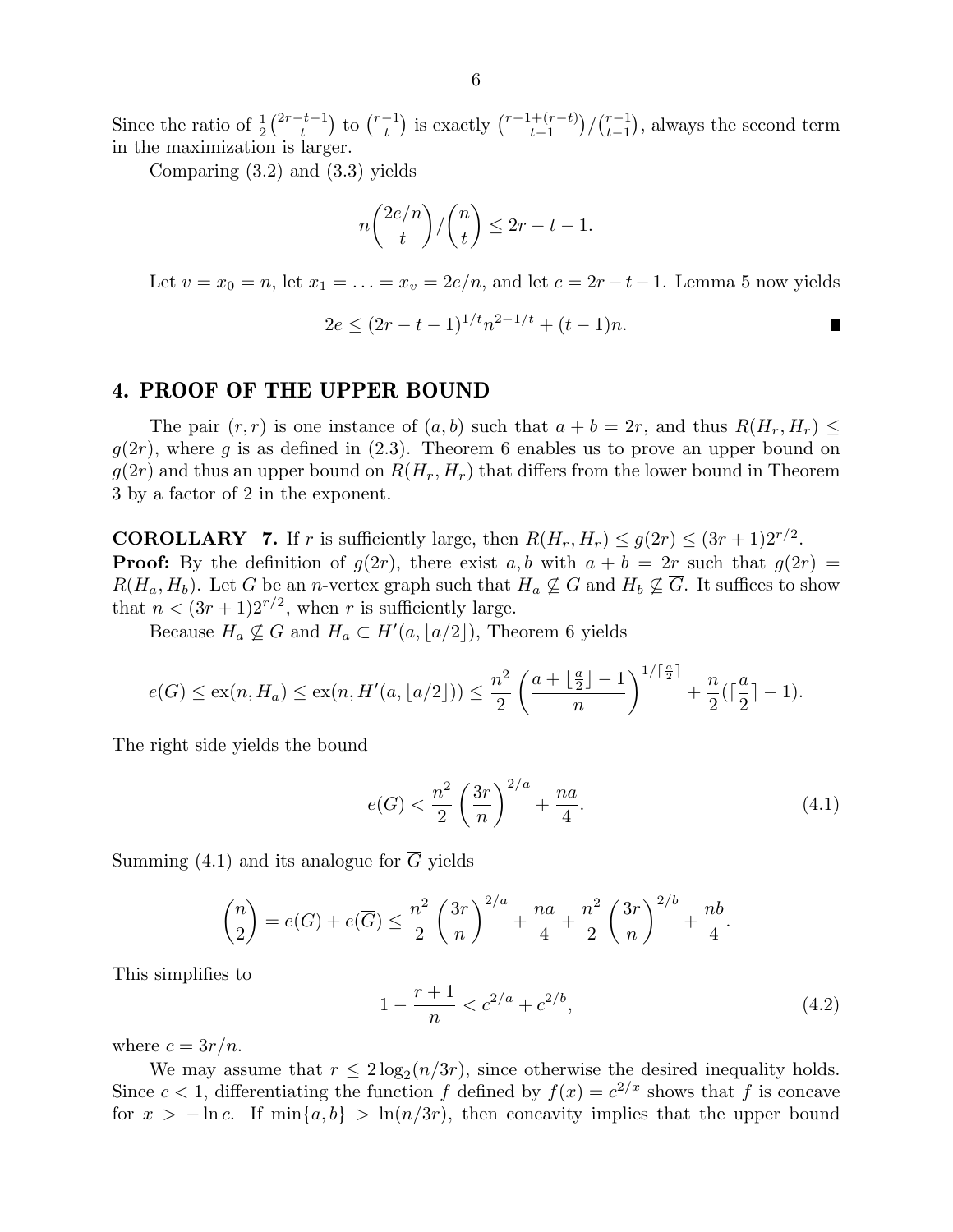Since the ratio of  $\frac{1}{2} \binom{2r-t-1}{t}$  $\binom{t-1}{t}$  to  $\binom{r-1}{t}$  $\binom{r-1}{t}$  is exactly  $\binom{r-1+(r-t)}{t-1}$  $\binom{t+(r-t)}{t-1}$  /  $\binom{r-1}{t-1}$  $_{t-1}^{r-1}$ ), always the second term in the maximization is larger.

Comparing (3.2) and (3.3) yields

$$
n\binom{2e/n}{t}/\binom{n}{t} \le 2r - t - 1.
$$

Let  $v = x_0 = n$ , let  $x_1 = \ldots = x_v = 2e/n$ , and let  $c = 2r - t - 1$ . Lemma 5 now yields

$$
2e \le (2r - t - 1)^{1/t} n^{2 - 1/t} + (t - 1)n.
$$

### 4. PROOF OF THE UPPER BOUND

The pair  $(r, r)$  is one instance of  $(a, b)$  such that  $a + b = 2r$ , and thus  $R(H_r, H_r) \leq$  $g(2r)$ , where g is as defined in  $(2.3)$ . Theorem 6 enables us to prove an upper bound on  $g(2r)$  and thus an upper bound on  $R(H_r, H_r)$  that differs from the lower bound in Theorem 3 by a factor of 2 in the exponent.

**COROLLARY** 7. If r is sufficiently large, then  $R(H_r, H_r) \leq g(2r) \leq (3r+1)2^{r/2}$ . **Proof:** By the definition of  $g(2r)$ , there exist a, b with  $a + b = 2r$  such that  $g(2r) =$  $R(H_a, H_b)$ . Let G be an n-vertex graph such that  $H_a \nsubseteq G$  and  $H_b \nsubseteq \overline{G}$ . It suffices to show that  $n < (3r+1)2^{r/2}$ , when r is sufficiently large.

Because  $H_a \nsubseteq G$  and  $H_a \subset H'(a, \lfloor a/2 \rfloor)$ , Theorem 6 yields

$$
e(G) \le \operatorname{ex}(n, H_a) \le \operatorname{ex}(n, H'(a, \lfloor a/2 \rfloor)) \le \frac{n^2}{2} \left( \frac{a + \lfloor \frac{a}{2} \rfloor - 1}{n} \right)^{1/\lceil \frac{a}{2} \rceil} + \frac{n}{2} (\lceil \frac{a}{2} \rceil - 1).
$$

The right side yields the bound

$$
e(G) < \frac{n^2}{2} \left(\frac{3r}{n}\right)^{2/a} + \frac{na}{4}.\tag{4.1}
$$

Summing (4.1) and its analogue for  $\overline{G}$  yields

$$
\binom{n}{2} = e(G) + e(\overline{G}) \le \frac{n^2}{2} \left(\frac{3r}{n}\right)^{2/a} + \frac{na}{4} + \frac{n^2}{2} \left(\frac{3r}{n}\right)^{2/b} + \frac{nb}{4}.
$$

This simplifies to

$$
1 - \frac{r+1}{n} < c^{2/a} + c^{2/b},\tag{4.2}
$$

where  $c = 3r/n$ .

We may assume that  $r \leq 2 \log_2(n/3r)$ , since otherwise the desired inequality holds. Since  $c < 1$ , differentiating the function f defined by  $f(x) = c^{2/x}$  shows that f is concave for  $x > -\ln c$ . If  $\min\{a, b\} > \ln(n/3r)$ , then concavity implies that the upper bound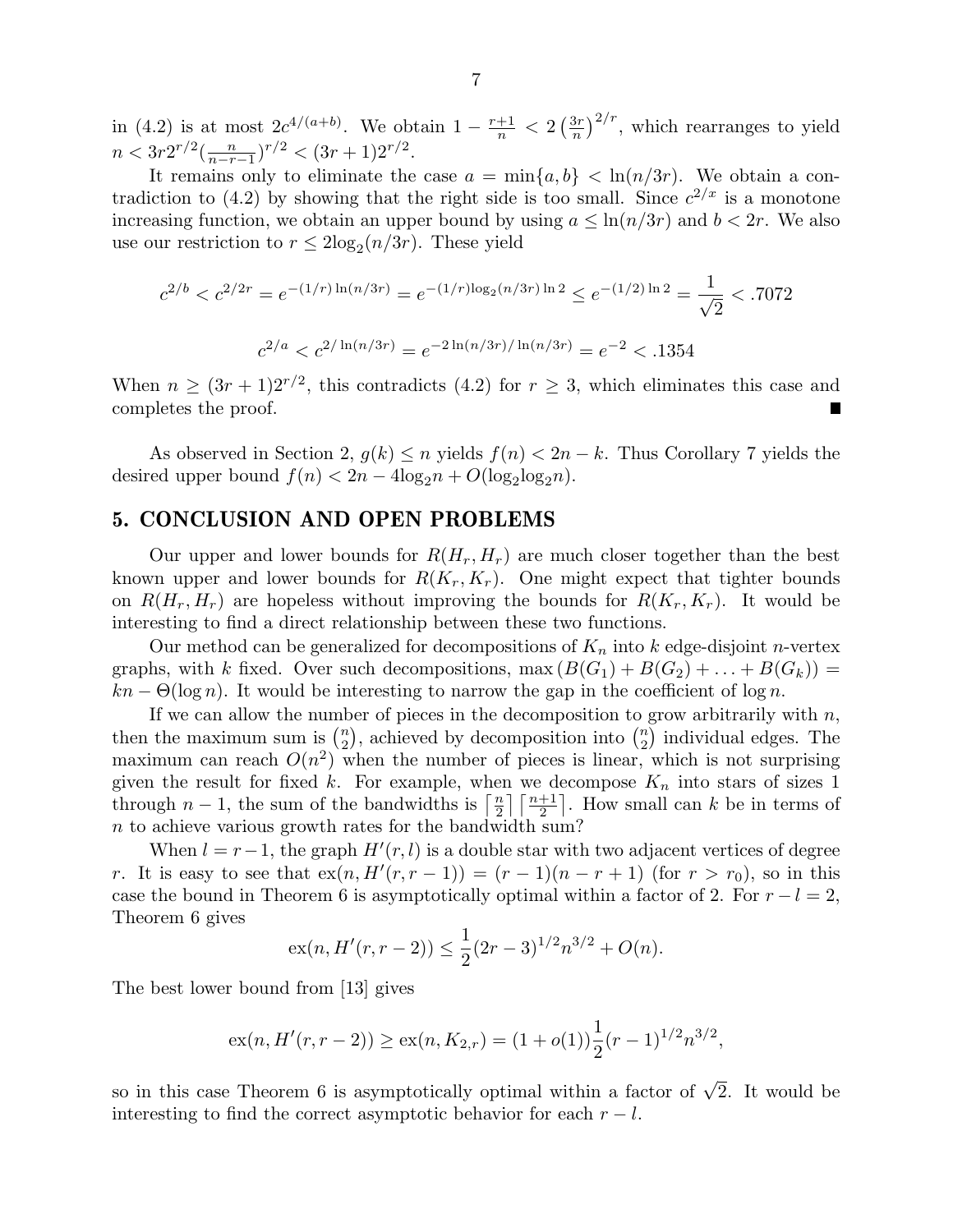in (4.2) is at most  $2c^{4/(a+b)}$ . We obtain  $1-\frac{r+1}{n}$  $\frac{+1}{n}$  < 2  $\left(\frac{3r}{n}\right)$  $\left(\frac{3r}{n}\right)^{2/r}$ , which rearranges to yield  $n < 3r2^{r/2}(\frac{n}{n-r-1})^{r/2} < (3r+1)2^{r/2}.$ 

It remains only to eliminate the case  $a = \min\{a, b\} < \ln(n/3r)$ . We obtain a contradiction to (4.2) by showing that the right side is too small. Since  $c^{2/x}$  is a monotone increasing function, we obtain an upper bound by using  $a \leq \ln(n/3r)$  and  $b < 2r$ . We also use our restriction to  $r \leq 2\log_2(n/3r)$ . These yield

$$
c^{2/b} < c^{2/2r} = e^{-(1/r)\ln(n/3r)} = e^{-(1/r)\log_2(n/3r)\ln 2} \le e^{-(1/2)\ln 2} = \frac{1}{\sqrt{2}} < .7072
$$
\n
$$
c^{2/a} < c^{2/\ln(n/3r)} = e^{-2\ln(n/3r)/\ln(n/3r)} = e^{-2} < .1354
$$

When  $n \geq (3r+1)2^{r/2}$ , this contradicts (4.2) for  $r \geq 3$ , which eliminates this case and completes the proof.

As observed in Section 2,  $g(k) \leq n$  yields  $f(n) < 2n - k$ . Thus Corollary 7 yields the desired upper bound  $f(n) < 2n - 4\log_2 n + O(\log_2 \log_2 n)$ .

# 5. CONCLUSION AND OPEN PROBLEMS

Our upper and lower bounds for  $R(H_r, H_r)$  are much closer together than the best known upper and lower bounds for  $R(K_r, K_r)$ . One might expect that tighter bounds on  $R(H_r, H_r)$  are hopeless without improving the bounds for  $R(K_r, K_r)$ . It would be interesting to find a direct relationship between these two functions.

Our method can be generalized for decompositions of  $K_n$  into k edge-disjoint n-vertex graphs, with k fixed. Over such decompositions,  $\max(B(G_1) + B(G_2) + \ldots + B(G_k)) =$  $kn - \Theta(\log n)$ . It would be interesting to narrow the gap in the coefficient of  $\log n$ .

If we can allow the number of pieces in the decomposition to grow arbitrarily with  $n$ , then the maximum sum is  $\binom{n}{2}$  $\binom{n}{2}$ , achieved by decomposition into  $\binom{n}{2}$  $n \choose 2$  individual edges. The maximum can reach  $O(n^2)$  when the number of pieces is linear, which is not surprising given the result for fixed k. For example, when we decompose  $K_n$  into stars of sizes 1 through  $n-1$ , the sum of the bandwidths is  $\lceil \frac{n}{2} \rceil$  $\frac{n}{2}$   $\lceil \frac{n+1}{2} \rceil$ . How small can k be in terms of n to achieve various growth rates for the bandwidth sum?

When  $l = r - 1$ , the graph  $H'(r, l)$  is a double star with two adjacent vertices of degree r. It is easy to see that  $ex(n, H'(r, r - 1)) = (r - 1)(n - r + 1)$  (for  $r > r_0$ ), so in this case the bound in Theorem 6 is asymptotically optimal within a factor of 2. For  $r - l = 2$ , Theorem 6 gives

$$
ex(n, H'(r, r-2)) \le \frac{1}{2}(2r-3)^{1/2}n^{3/2} + O(n).
$$

The best lower bound from [13] gives

$$
ex(n, H'(r,r-2)) \ge ex(n, K_{2,r}) = (1+o(1))\frac{1}{2}(r-1)^{1/2}n^{3/2},
$$

so in this case Theorem 6 is asymptotically optimal within a factor of  $\sqrt{2}$ . It would be interesting to find the correct asymptotic behavior for each  $r - l$ .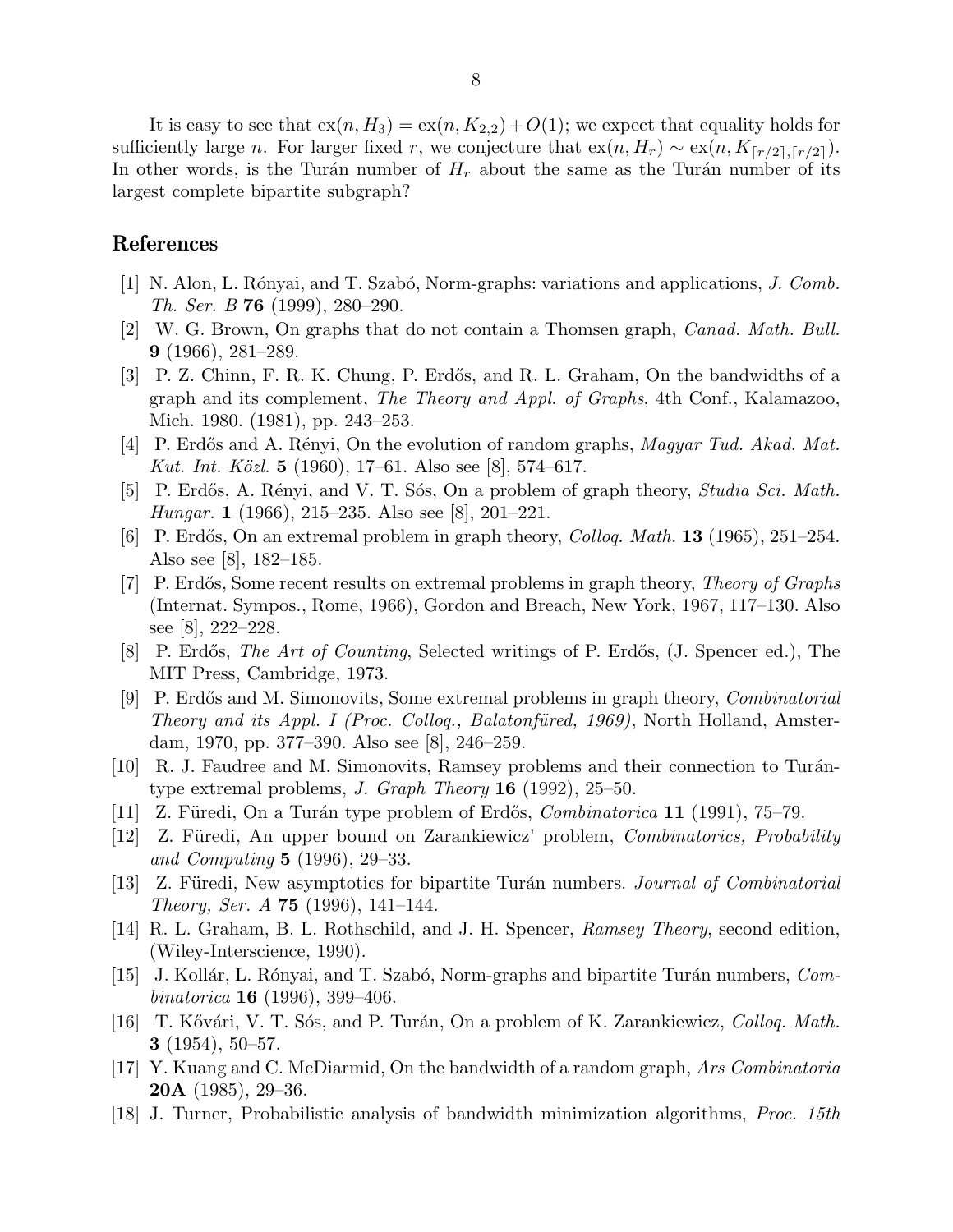It is easy to see that  $ex(n, H_3) = ex(n, K_{2,2}) + O(1)$ ; we expect that equality holds for sufficiently large n. For larger fixed r, we conjecture that  $ex(n, H_r) \sim ex(n, K_{\lceil r/2 \rceil, \lceil r/2 \rceil})$ . In other words, is the Turán number of  $H_r$  about the same as the Turán number of its largest complete bipartite subgraph?

## References

- [1] N. Alon, L. Rónyai, and T. Szabó, Norm-graphs: variations and applications, J. Comb. Th. Ser. B 76 (1999), 280–290.
- [2] W. G. Brown, On graphs that do not contain a Thomsen graph, Canad. Math. Bull. 9 (1966), 281–289.
- [3] P. Z. Chinn, F. R. K. Chung, P. Erdős, and R. L. Graham, On the bandwidths of a graph and its complement, The Theory and Appl. of Graphs, 4th Conf., Kalamazoo, Mich. 1980. (1981), pp. 243–253.
- [4] P. Erdős and A. Rényi, On the evolution of random graphs, *Magyar Tud. Akad. Mat.* Kut. Int. Közl. 5 (1960), 17–61. Also see [8], 574–617.
- [5] P. Erdős, A. Rényi, and V. T. Sós, On a problem of graph theory, Studia Sci. Math. Hungar. 1 (1966), 215–235. Also see [8], 201–221.
- [6] P. Erdős, On an extremal problem in graph theory, *Colloq. Math.* **13** (1965), 251–254. Also see [8], 182–185.
- [7] P. Erdős, Some recent results on extremal problems in graph theory, *Theory of Graphs* (Internat. Sympos., Rome, 1966), Gordon and Breach, New York, 1967, 117–130. Also see [8], 222–228.
- [8] P. Erdős, *The Art of Counting*, Selected writings of P. Erdős, (J. Spencer ed.), The MIT Press, Cambridge, 1973.
- [9] P. Erdős and M. Simonovits, Some extremal problems in graph theory, *Combinatorial* Theory and its Appl. I (Proc. Collog., Balatonfüred, 1969), North Holland, Amsterdam, 1970, pp. 377–390. Also see [8], 246–259.
- $[10]$  R. J. Faudree and M. Simonovits, Ramsey problems and their connection to Turántype extremal problems, J. Graph Theory  $16$  (1992), 25–50.
- [11] Z. Füredi, On a Turán type problem of Erdős,  $Combinatorica$  11 (1991), 75–79.
- [12] Z. Füredi, An upper bound on Zarankiewicz' problem, *Combinatorics, Probability* and Computing 5 (1996), 29–33.
- [13] Z. Füredi, New asymptotics for bipartite Turán numbers. *Journal of Combinatorial Theory, Ser. A* **75** (1996), 141–144.
- [14] R. L. Graham, B. L. Rothschild, and J. H. Spencer, Ramsey Theory, second edition, (Wiley-Interscience, 1990).
- [15] J. Kollár, L. Rónyai, and T. Szabó, Norm-graphs and bipartite Turán numbers, Combinatorica **16** (1996), 399–406.
- [16] T. Kővári, V. T. Sós, and P. Turán, On a problem of K. Zarankiewicz, *Colloq. Math.* 3  $(1954)$ , 50–57.
- [17] Y. Kuang and C. McDiarmid, On the bandwidth of a random graph, Ars Combinatoria **20A** (1985), 29–36.
- [18] J. Turner, Probabilistic analysis of bandwidth minimization algorithms, Proc. 15th